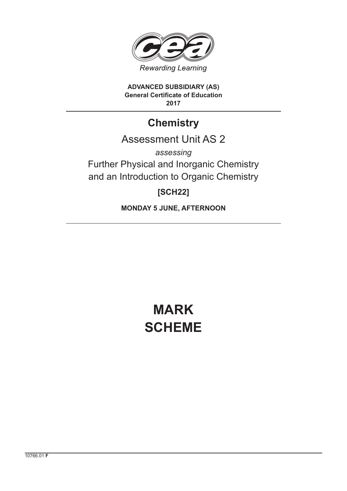

**ADVANCED SUBSIDIARY (AS) General Certificate of Education 2017**

## **Chemistry**

## Assessment Unit AS 2

*assessing* Further Physical and Inorganic Chemistry and an Introduction to Organic Chemistry

### **[SCH22]**

**MONDAY 5 JUNE, AFTERNOON**

# **MARK SCHEME**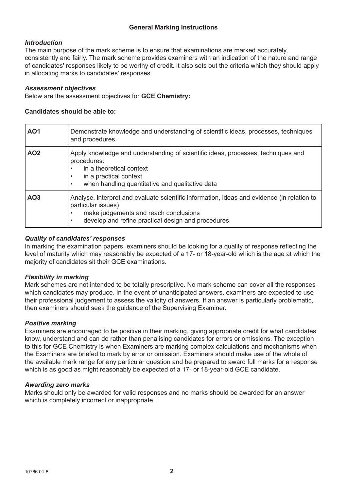#### **General Marking Instructions**

#### *Introduction*

The main purpose of the mark scheme is to ensure that examinations are marked accurately, consistently and fairly. The mark scheme provides examiners with an indication of the nature and range of candidates' responses likely to be worthy of credit. it also sets out the criteria which they should apply in allocating marks to candidates' responses.

#### *Assessment objectives*

Below are the assessment objectives for **GCE Chemistry:**

#### **Candidates should be able to:**

| <b>AO1</b>      | Demonstrate knowledge and understanding of scientific ideas, processes, techniques<br>and procedures.                                                                                                                                     |
|-----------------|-------------------------------------------------------------------------------------------------------------------------------------------------------------------------------------------------------------------------------------------|
| AO <sub>2</sub> | Apply knowledge and understanding of scientific ideas, processes, techniques and<br>procedures:<br>in a theoretical context<br>$\bullet$<br>in a practical context<br>when handling quantitative and qualitative data<br>$\bullet$        |
| AO <sub>3</sub> | Analyse, interpret and evaluate scientific information, ideas and evidence (in relation to<br>particular issues)<br>make judgements and reach conclusions<br>$\bullet$<br>develop and refine practical design and procedures<br>$\bullet$ |

#### *Quality of candidates' responses*

In marking the examination papers, examiners should be looking for a quality of response reflecting the level of maturity which may reasonably be expected of a 17- or 18-year-old which is the age at which the majority of candidates sit their GCE examinations.

#### *Flexibility in marking*

Mark schemes are not intended to be totally prescriptive. No mark scheme can cover all the responses which candidates may produce. In the event of unanticipated answers, examiners are expected to use their professional judgement to assess the validity of answers. If an answer is particularly problematic, then examiners should seek the guidance of the Supervising Examiner.

#### *Positive marking*

Examiners are encouraged to be positive in their marking, giving appropriate credit for what candidates know, understand and can do rather than penalising candidates for errors or omissions. The exception to this for GCE Chemistry is when Examiners are marking complex calculations and mechanisms when the Examiners are briefed to mark by error or omission. Examiners should make use of the whole of the available mark range for any particular question and be prepared to award full marks for a response which is as good as might reasonably be expected of a 17- or 18-year-old GCE candidate.

#### *Awarding zero marks*

Marks should only be awarded for valid responses and no marks should be awarded for an answer which is completely incorrect or inappropriate.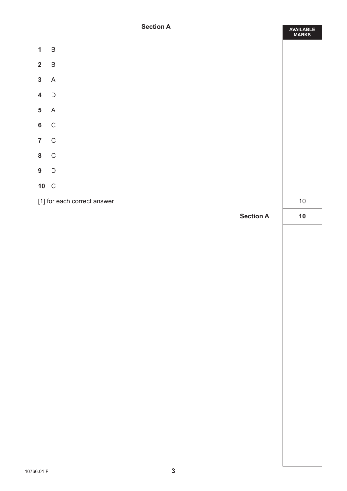#### **Section A**

**AVAILABLE**

|                         |                |                             | <b>MARKS</b> |
|-------------------------|----------------|-----------------------------|--------------|
| $\mathbf{1}$            | $\overline{B}$ |                             |              |
| $\overline{\mathbf{2}}$ | $\sf B$        |                             |              |
| $\mathbf{3}$            | A              |                             |              |
| $\overline{\mathbf{4}}$ | $\mathsf D$    |                             |              |
| $\overline{\mathbf{5}}$ | $\overline{A}$ |                             |              |
| $\bf 6$                 | $\,$ C         |                             |              |
| $\overline{7}$          | $\mathsf C$    |                             |              |
| $\bf{8}$                | $\mathbf{C}$   |                             |              |
| $\overline{9}$          | D              |                             |              |
|                         | 10 C           |                             |              |
|                         |                | [1] for each correct answer | $10\,$       |
|                         |                | <b>Section A</b>            | $10$         |
|                         |                |                             |              |
|                         |                |                             |              |
|                         |                |                             |              |
|                         |                |                             |              |
|                         |                |                             |              |
|                         |                |                             |              |
|                         |                |                             |              |
|                         |                |                             |              |
|                         |                |                             |              |
|                         |                |                             |              |
|                         |                |                             |              |
|                         |                |                             |              |
|                         |                |                             |              |
|                         |                |                             |              |
|                         |                |                             |              |
|                         |                |                             |              |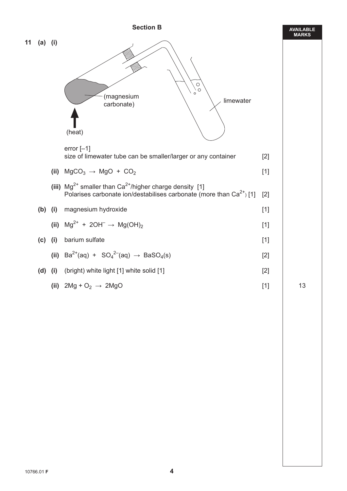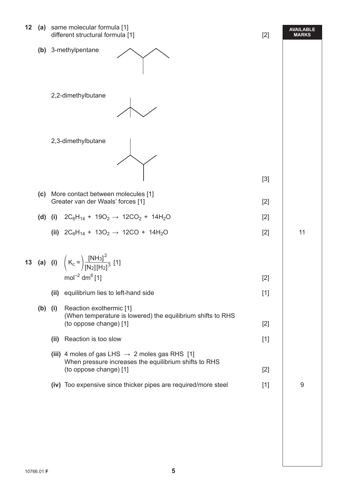| 12 |           |                                                                             | (a) same molecular formula [1]<br>different structural formula [1]                                                                            | $[2]$ | <b>AVAILABLE</b><br><b>MARKS</b> |
|----|-----------|-----------------------------------------------------------------------------|-----------------------------------------------------------------------------------------------------------------------------------------------|-------|----------------------------------|
|    |           |                                                                             | (b) 3-methylpentane                                                                                                                           |       |                                  |
|    |           |                                                                             | 2,2-dimethylbutane                                                                                                                            |       |                                  |
|    |           |                                                                             | 2,3-dimethylbutane                                                                                                                            |       |                                  |
|    |           |                                                                             |                                                                                                                                               | $[3]$ |                                  |
|    |           | (c) More contact between molecules [1]<br>Greater van der Waals' forces [1] |                                                                                                                                               | $[2]$ |                                  |
|    | (d)       | (i)                                                                         | $2C_6H_{14}$ + 190 <sub>2</sub> $\rightarrow$ 12CO <sub>2</sub> + 14H <sub>2</sub> O                                                          | $[2]$ |                                  |
|    |           |                                                                             | (ii) $2C_6H_{14}$ + 130 <sub>2</sub> $\rightarrow$ 12CO + 14H <sub>2</sub> O                                                                  | $[2]$ | 11                               |
|    |           |                                                                             | <b>13</b> (a) (i) $(K_c = )\frac{[NH_3]^2}{[N_2][H_2]^3}$ [1]<br>$mol^{-2}$ dm <sup>6</sup> [1]                                               | $[2]$ |                                  |
|    |           |                                                                             | (ii) equilibrium lies to left-hand side                                                                                                       | $[1]$ |                                  |
|    |           |                                                                             |                                                                                                                                               |       |                                  |
|    | $(b)$ (i) |                                                                             | Reaction exothermic [1]<br>(When temperature is lowered) the equilibrium shifts to RHS<br>(to oppose change) [1]                              | $[2]$ |                                  |
|    |           | (ii)                                                                        | Reaction is too slow                                                                                                                          | $[1]$ |                                  |
|    |           |                                                                             | (iii) 4 moles of gas LHS $\rightarrow$ 2 moles gas RHS [1]<br>When pressure increases the equilibrium shifts to RHS<br>(to oppose change) [1] | $[2]$ |                                  |
|    |           |                                                                             | (iv) Too expensive since thicker pipes are required/more steel                                                                                | $[1]$ | 9                                |
|    |           |                                                                             |                                                                                                                                               |       |                                  |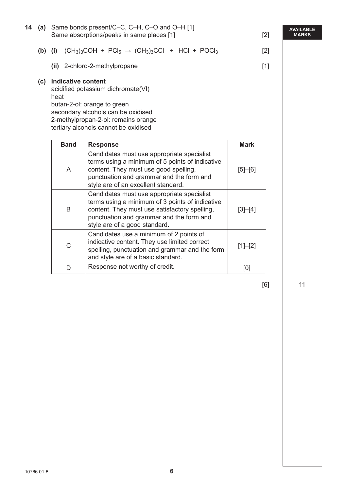|                                | (a) Same bonds present/C-C, C-H, C-O and O-H [1]<br>Same absorptions/peaks in same places [1]                                                                                                                               | $[2]$         |
|--------------------------------|-----------------------------------------------------------------------------------------------------------------------------------------------------------------------------------------------------------------------------|---------------|
| $(b)$ (i)                      | $(CH_3)_3COH + PCl_5 \rightarrow (CH_3)_3CCI + HCl + POCl_3$                                                                                                                                                                | $[2]$         |
|                                | (ii) 2-chloro-2-methylpropane                                                                                                                                                                                               | $[1]$         |
| (c) Indicative content<br>heat | acidified potassium dichromate(VI)<br>butan-2-ol: orange to green<br>secondary alcohols can be oxidised<br>2-methylpropan-2-ol: remains orange<br>tertiary alcohols cannot be oxidised                                      |               |
| <b>Band</b>                    | <b>Response</b>                                                                                                                                                                                                             | <b>Mark</b>   |
| A                              | Candidates must use appropriate specialist<br>terms using a minimum of 5 points of indicative<br>content. They must use good spelling,<br>punctuation and grammar and the form and<br>style are of an excellent standard.   | $[5]$ - $[6]$ |
| B                              | Candidates must use appropriate specialist<br>terms using a minimum of 3 points of indicative<br>content. They must use satisfactory spelling,<br>punctuation and grammar and the form and<br>style are of a good standard. | $[3]-[4]$     |
|                                |                                                                                                                                                                                                                             |               |
| $\mathsf C$                    | Candidates use a minimum of 2 points of<br>indicative content. They use limited correct<br>spelling, punctuation and grammar and the form<br>and style are of a basic standard.                                             | $[1]-[2]$     |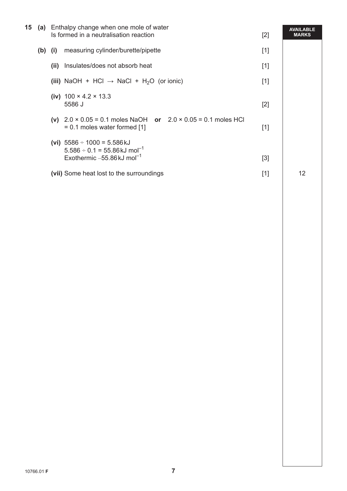| 15 |           | (a) Enthalpy change when one mole of water<br>Is formed in a neutralisation reaction<br>$[2]$ |                                                                                                                                                      |       | <b>AVAILABLE</b><br><b>MARKS</b> |
|----|-----------|-----------------------------------------------------------------------------------------------|------------------------------------------------------------------------------------------------------------------------------------------------------|-------|----------------------------------|
|    | $(b)$ (i) |                                                                                               | measuring cylinder/burette/pipette                                                                                                                   | $[1]$ |                                  |
|    |           | (ii)                                                                                          | Insulates/does not absorb heat                                                                                                                       | $[1]$ |                                  |
|    |           |                                                                                               | (iii) NaOH + HCl $\rightarrow$ NaCl + H <sub>2</sub> O (or ionic)                                                                                    | $[1]$ |                                  |
|    |           |                                                                                               | (iv) $100 \times 4.2 \times 13.3$<br>5586 J                                                                                                          | $[2]$ |                                  |
|    |           |                                                                                               | (v) $2.0 \times 0.05 = 0.1$ moles NaOH or $2.0 \times 0.05 = 0.1$ moles HCl<br>$= 0.1$ moles water formed [1]                                        | $[1]$ |                                  |
|    |           |                                                                                               | (vi) $5586 \div 1000 = 5.586 \text{ kJ}$<br>$5.586 \div 0.1 = 55.86 \text{ kJ} \text{ mol}^{-1}$<br>Exothermic $-55.86 \text{ kJ}$ mol <sup>-1</sup> | [3]   |                                  |
|    |           |                                                                                               | (vii) Some heat lost to the surroundings                                                                                                             | $[1]$ | 12                               |
|    |           |                                                                                               |                                                                                                                                                      |       |                                  |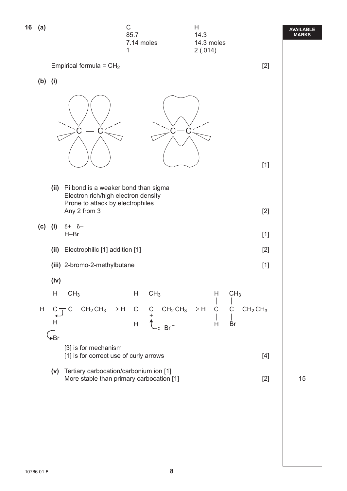